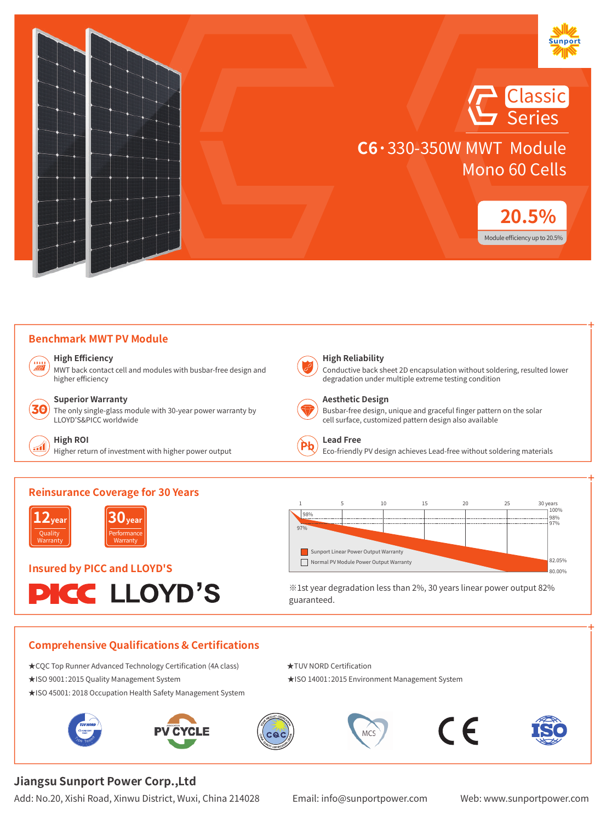

<u>Classic</u> Series

**C6·**330-350W MWT Module Mono 60 Cells



#### **Benchmark MWT PV Module**

**High Efficiency**

MWT back contact cell and modules with busbar-free design and higher efficiency



#### **Superior Warranty**

The only single-glass module with 30-year power warranty by LLOYD'S&PICC worldwide



#### **High ROI**

Higher return of investment with higher power output



#### **High Reliability**

Conductive back sheet 2D encapsulation without soldering, resulted lower degradation under multiple extreme testing condition



#### **Aesthetic Design**

Busbar-free design, unique and graceful finger pattern on the solar cell surface, customized pattern design also available



#### **Lead Free**

Eco-friendly PV design achieves Lead-free without soldering materials





**30year** Performance Warranty

# **Insured by PICC and LLOYD'S**





※1st year degradation less than 2%, 30 years linear power output 82% guaranteed.

#### **Comprehensive Qualifications & Certifications**

- ★CQC Top Runner Advanced Technology Certification (4A class) ★TUV NORD Certification
- ★ISO 9001:2015 Quality Management System ★ISO 14001:2015 Environment Management System
- ★ISO 45001: 2018 Occupation Health Safety Management System













### **Jiangsu Sunport Power Corp.,Ltd**

Add: No.20, Xishi Road, Xinwu District, Wuxi, China 214028 Email: info@sunportpower.com Web: www.sunportpower.com